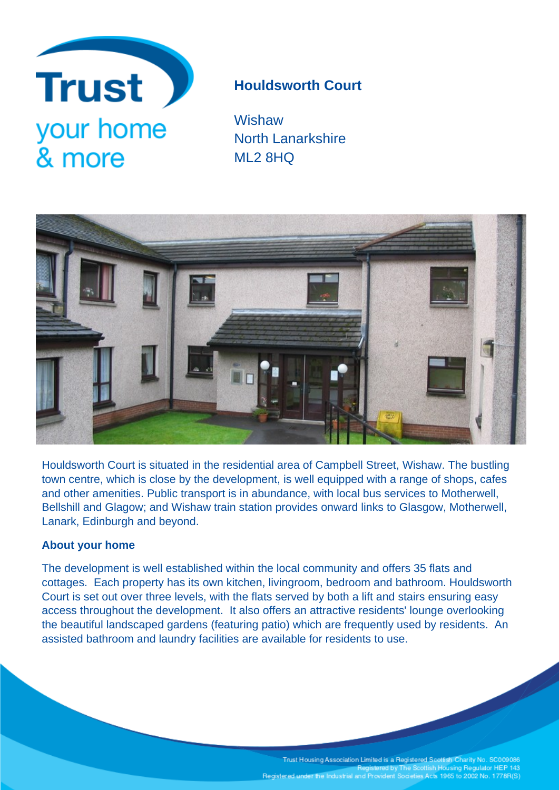

# **Houldsworth Court**

**Wishaw** North Lanarkshire ML2 8HQ



Houldsworth Court is situated in the residential area of Campbell Street, Wishaw. The bustling town centre, which is close by the development, is well equipped with a range of shops, cafes and other amenities. Public transport is in abundance, with local bus services to Motherwell, Bellshill and Glagow; and Wishaw train station provides onward links to Glasgow, Motherwell, Lanark, Edinburgh and beyond.

# **About your home**

The development is well established within the local community and offers 35 flats and cottages. Each property has its own kitchen, livingroom, bedroom and bathroom. Houldsworth Court is set out over three levels, with the flats served by both a lift and stairs ensuring easy access throughout the development. It also offers an attractive residents' lounge overlooking the beautiful landscaped gardens (featuring patio) which are frequently used by residents. An assisted bathroom and laundry facilities are available for residents to use.

> Trust Housing Association Limited is a Registered Scottish Charity No. SC009086<br>Registered by The Scottish Housing Regulator HEP 143 Registered under the Industrial and Provident Societies Acts 1965 to 2002 No. 1778R(S)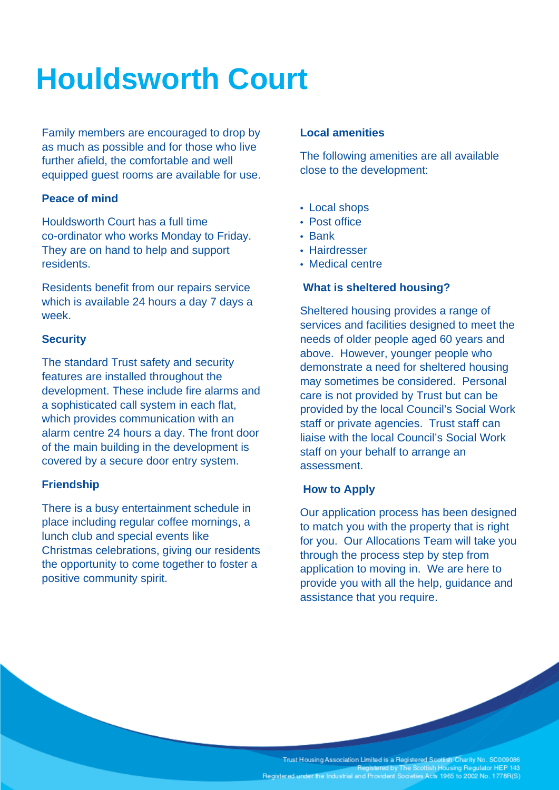# **Houldsworth Court**

Family members are encouraged to drop by as much as possible and for those who live further afield, the comfortable and well equipped guest rooms are available for use.

### **Peace of mind**

Houldsworth Court has a full time co-ordinator who works Monday to Friday. They are on hand to help and support residents.

Residents benefit from our repairs service which is available 24 hours a day 7 days a week.

# **Security**

The standard Trust safety and security features are installed throughout the development. These include fire alarms and a sophisticated call system in each flat, which provides communication with an alarm centre 24 hours a day. The front door of the main building in the development is covered by a secure door entry system.

# **Friendship**

There is a busy entertainment schedule in place including regular coffee mornings, a lunch club and special events like Christmas celebrations, giving our residents the opportunity to come together to foster a positive community spirit.

### **Local amenities**

The following amenities are all available close to the development:

- Local shops
- Post office
- Bank
- Hairdresser
- Medical centre

#### **What is sheltered housing?**

Sheltered housing provides a range of services and facilities designed to meet the needs of older people aged 60 years and above. However, younger people who demonstrate a need for sheltered housing may sometimes be considered. Personal care is not provided by Trust but can be provided by the local Council's Social Work staff or private agencies. Trust staff can liaise with the local Council's Social Work staff on your behalf to arrange an assessment.

#### **How to Apply**

Our application process has been designed to match you with the property that is right for you. Our Allocations Team will take you through the process step by step from application to moving in. We are here to provide you with all the help, guidance and assistance that you require.

Trust Housing Association Limited is a Registered Scottish Charity No. SC009086<br>Registered by The Scottish Housing Regulator HEP 143 Registered under the Industrial and Provident Societies Acts 1965 to 2002 No. 1778R(S)